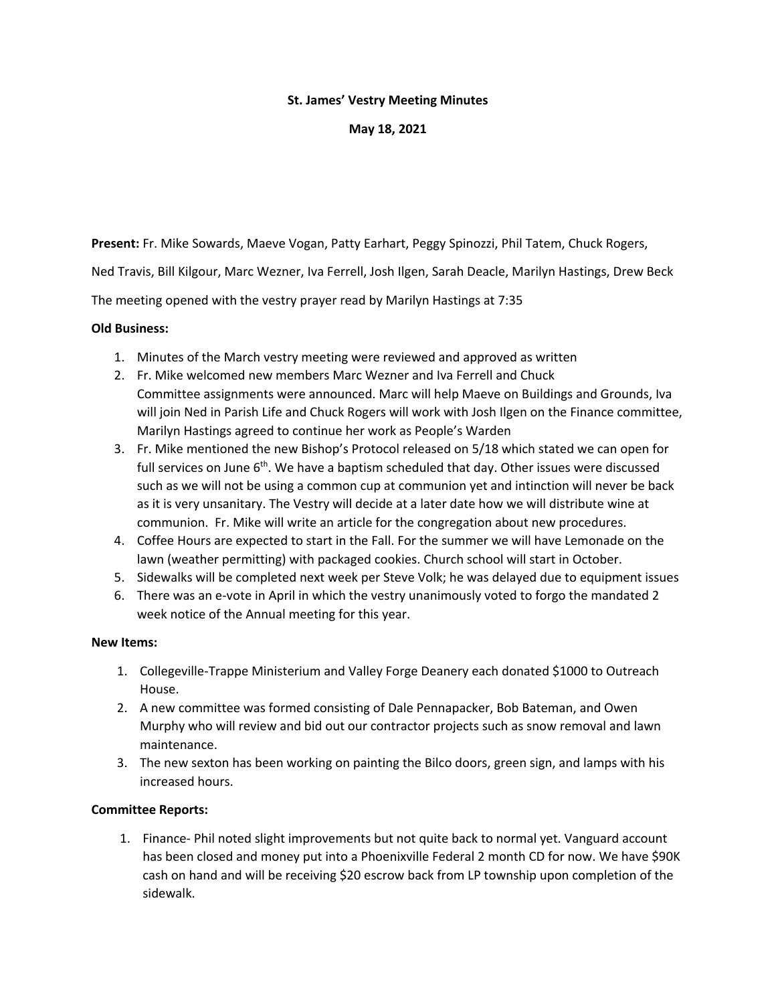## **St. James' Vestry Meeting Minutes**

**May 18, 2021**

**Present:** Fr. Mike Sowards, Maeve Vogan, Patty Earhart, Peggy Spinozzi, Phil Tatem, Chuck Rogers,

Ned Travis, Bill Kilgour, Marc Wezner, Iva Ferrell, Josh Ilgen, Sarah Deacle, Marilyn Hastings, Drew Beck

The meeting opened with the vestry prayer read by Marilyn Hastings at 7:35

## **Old Business:**

- 1. Minutes of the March vestry meeting were reviewed and approved as written
- 2. Fr. Mike welcomed new members Marc Wezner and Iva Ferrell and Chuck Committee assignments were announced. Marc will help Maeve on Buildings and Grounds, Iva will join Ned in Parish Life and Chuck Rogers will work with Josh Ilgen on the Finance committee, Marilyn Hastings agreed to continue her work as People's Warden
- 3. Fr. Mike mentioned the new Bishop's Protocol released on 5/18 which stated we can open for full services on June  $6<sup>th</sup>$ . We have a baptism scheduled that day. Other issues were discussed such as we will not be using a common cup at communion yet and intinction will never be back as it is very unsanitary. The Vestry will decide at a later date how we will distribute wine at communion. Fr. Mike will write an article for the congregation about new procedures.
- 4. Coffee Hours are expected to start in the Fall. For the summer we will have Lemonade on the lawn (weather permitting) with packaged cookies. Church school will start in October.
- 5. Sidewalks will be completed next week per Steve Volk; he was delayed due to equipment issues
- 6. There was an e-vote in April in which the vestry unanimously voted to forgo the mandated 2 week notice of the Annual meeting for this year.

## **New Items:**

- 1. Collegeville-Trappe Ministerium and Valley Forge Deanery each donated \$1000 to Outreach House.
- 2. A new committee was formed consisting of Dale Pennapacker, Bob Bateman, and Owen Murphy who will review and bid out our contractor projects such as snow removal and lawn maintenance.
- 3. The new sexton has been working on painting the Bilco doors, green sign, and lamps with his increased hours.

## **Committee Reports:**

1. Finance- Phil noted slight improvements but not quite back to normal yet. Vanguard account has been closed and money put into a Phoenixville Federal 2 month CD for now. We have \$90K cash on hand and will be receiving \$20 escrow back from LP township upon completion of the sidewalk.